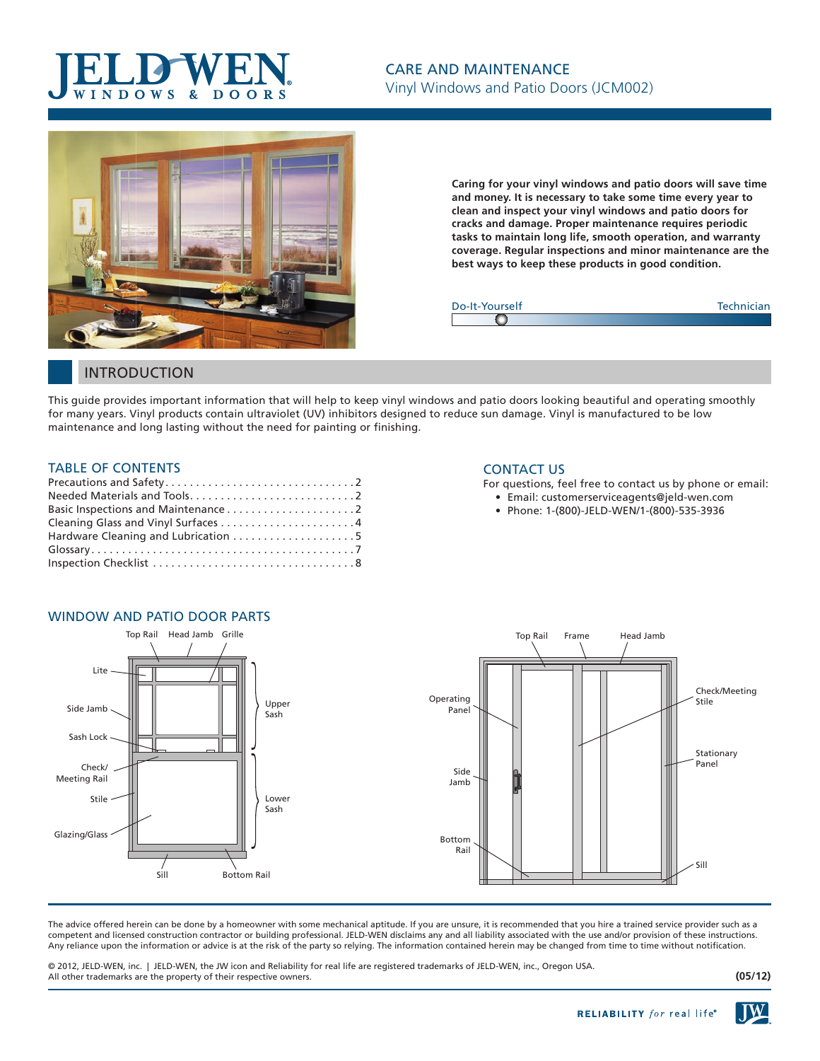### $W S$ D  $\overline{O}$  $\overline{D}$   $\overline{O}$



**Caring for your vinyl windows and patio doors will save time and money. It is necessary to take some time every year to clean and inspect your vinyl windows and patio doors for cracks and damage. Proper maintenance requires periodic tasks to maintain long life, smooth operation, and warranty coverage. Regular inspections and minor maintenance are the best ways to keep these products in good condition.**



## INTRODUCTION

This guide provides important information that will help to keep vinyl windows and patio doors looking beautiful and operating smoothly for many years. Vinyl products contain ultraviolet (UV) inhibitors designed to reduce sun damage. Vinyl is manufactured to be low maintenance and long lasting without the need for painting or finishing.

### TABLE OF CONTENTS

| Hardware Cleaning and Lubrication 5 |
|-------------------------------------|
|                                     |
|                                     |

#### CONTACT US

For questions, feel free to contact us by phone or email:

- Email: customerserviceagents@jeld-wen.com
	- Phone: 1-(800)-JELD-WEN/1-(800)-535-3936



The advice offered herein can be done by a homeowner with some mechanical aptitude. If you are unsure, it is recommended that you hire a trained service provider such as a competent and licensed construction contractor or building professional. JELD-WEN disclaims any and all liability associated with the use and/or provision of these instructions. Any reliance upon the information or advice is at the risk of the party so relying. The information contained herein may be changed from time to time without notification.

© 2012, JELD-WEN, inc. | JELD-WEN, the JW icon and Reliability for real life are registered trademarks of JELD-WEN, inc., Oregon USA. All other trademarks are the property of their respective owners.

**(05/12)**

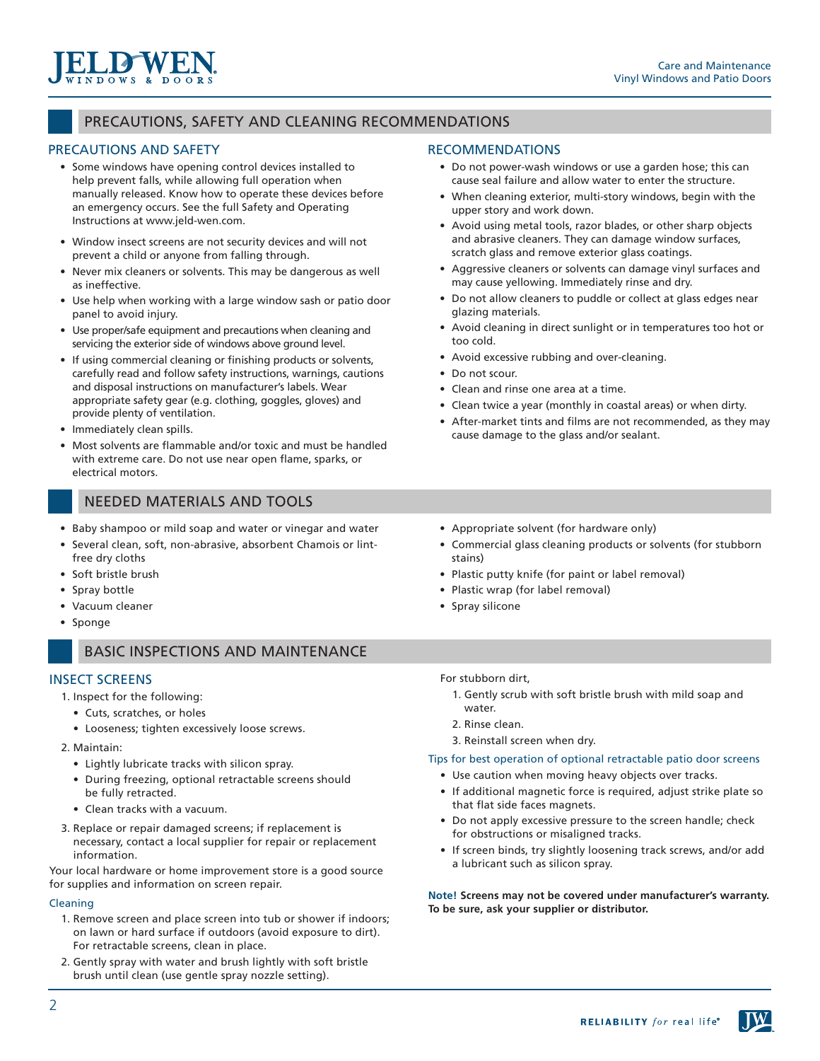## PRECAUTIONS, SAFETY AND CLEANING RECOMMENDATIONS

### PRECAUTIONS AND SAFETY

 $N$  D O W S &

- Some windows have opening control devices installed to help prevent falls, while allowing full operation when manually released. Know how to operate these devices before an emergency occurs. See the full Safety and Operating Instructions at www.jeld-wen.com.
- Window insect screens are not security devices and will not prevent a child or anyone from falling through.
- Never mix cleaners or solvents. This may be dangerous as well as ineffective.
- Use help when working with a large window sash or patio door panel to avoid injury.
- Use proper/safe equipment and precautions when cleaning and servicing the exterior side of windows above ground level.
- If using commercial cleaning or finishing products or solvents, carefully read and follow safety instructions, warnings, cautions and disposal instructions on manufacturer's labels. Wear appropriate safety gear (e.g. clothing, goggles, gloves) and provide plenty of ventilation.
- Immediately clean spills.
- Most solvents are flammable and/or toxic and must be handled with extreme care. Do not use near open flame, sparks, or electrical motors.

## NEEDED MATERIALS AND TOOLS

- Baby shampoo or mild soap and water or vinegar and water
- Several clean, soft, non-abrasive, absorbent Chamois or lintfree dry cloths
- Soft bristle brush
- Spray bottle
- Vacuum cleaner
- Sponge

## BASIC INSPECTIONS AND MAINTENANCE

### INSECT SCREENS

1. Inspect for the following:

- Cuts, scratches, or holes
- Looseness; tighten excessively loose screws.
- 2. Maintain:
	- Lightly lubricate tracks with silicon spray.
	- During freezing, optional retractable screens should be fully retracted.
	- Clean tracks with a vacuum.
- 3. Replace or repair damaged screens; if replacement is necessary, contact a local supplier for repair or replacement information.

Your local hardware or home improvement store is a good source for supplies and information on screen repair.

#### Cleaning

- 1. Remove screen and place screen into tub or shower if indoors; on lawn or hard surface if outdoors (avoid exposure to dirt). For retractable screens, clean in place.
- 2. Gently spray with water and brush lightly with soft bristle brush until clean (use gentle spray nozzle setting).

### RECOMMENDATIONS

- Do not power-wash windows or use a garden hose; this can cause seal failure and allow water to enter the structure.
- When cleaning exterior, multi-story windows, begin with the upper story and work down.
- Avoid using metal tools, razor blades, or other sharp objects and abrasive cleaners. They can damage window surfaces, scratch glass and remove exterior glass coatings.
- Aggressive cleaners or solvents can damage vinyl surfaces and may cause yellowing. Immediately rinse and dry.
- Do not allow cleaners to puddle or collect at glass edges near glazing materials.
- Avoid cleaning in direct sunlight or in temperatures too hot or too cold.
- Avoid excessive rubbing and over-cleaning.
- Do not scour.
- Clean and rinse one area at a time.
- Clean twice a year (monthly in coastal areas) or when dirty.
- After-market tints and films are not recommended, as they may cause damage to the glass and/or sealant.
- Appropriate solvent (for hardware only)
- Commercial glass cleaning products or solvents (for stubborn stains)
- Plastic putty knife (for paint or label removal)
- Plastic wrap (for label removal)
- Spray silicone

For stubborn dirt,

- 1. Gently scrub with soft bristle brush with mild soap and water.
- 2. Rinse clean.
- 3. Reinstall screen when dry.

Tips for best operation of optional retractable patio door screens

- Use caution when moving heavy objects over tracks.
- If additional magnetic force is required, adjust strike plate so that flat side faces magnets.
- Do not apply excessive pressure to the screen handle; check for obstructions or misaligned tracks.
- If screen binds, try slightly loosening track screws, and/or add a lubricant such as silicon spray.

**Note! Screens may not be covered under manufacturer's warranty. To be sure, ask your supplier or distributor.**

2

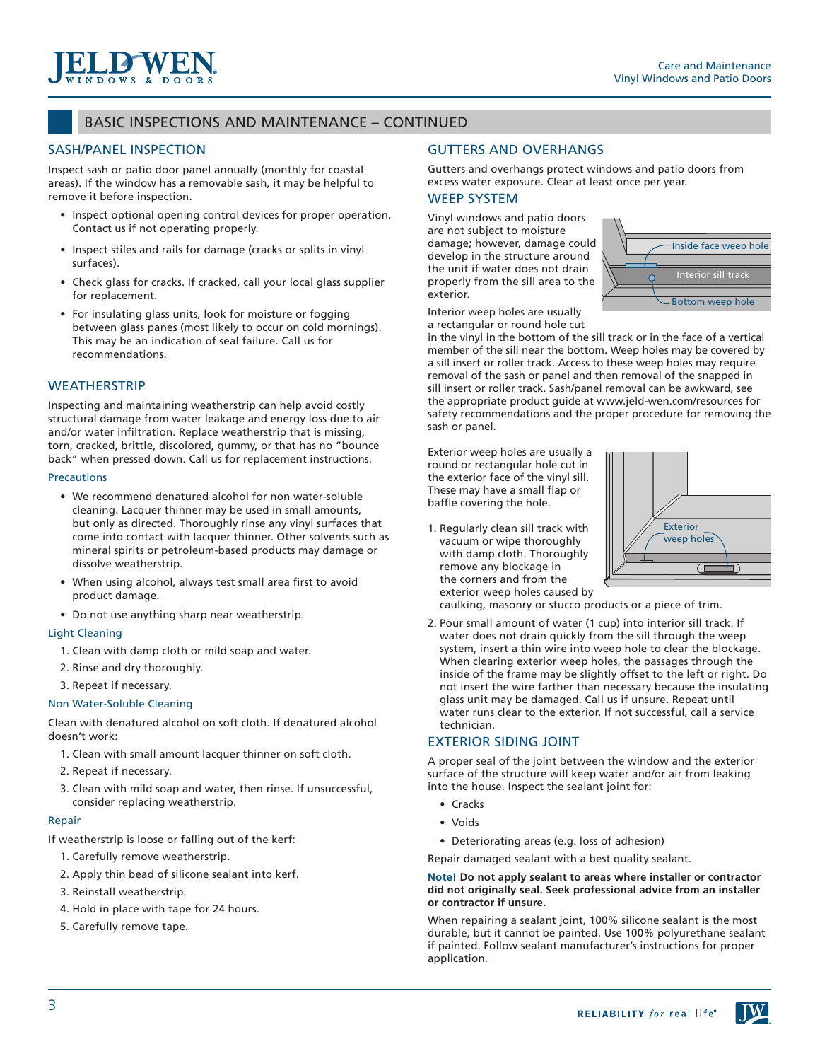

## BASIC INSPECTIONS AND MAINTENANCE – CONTINUED

### SASH/PANEL INSPECTION

Inspect sash or patio door panel annually (monthly for coastal areas). If the window has a removable sash, it may be helpful to remove it before inspection.

- Inspect optional opening control devices for proper operation. Contact us if not operating properly.
- Inspect stiles and rails for damage (cracks or splits in vinyl surfaces).
- Check glass for cracks. If cracked, call your local glass supplier for replacement.
- For insulating glass units, look for moisture or fogging between glass panes (most likely to occur on cold mornings). This may be an indication of seal failure. Call us for recommendations.

### **WEATHERSTRIP**

Inspecting and maintaining weatherstrip can help avoid costly structural damage from water leakage and energy loss due to air and/or water infiltration. Replace weatherstrip that is missing, torn, cracked, brittle, discolored, gummy, or that has no "bounce back" when pressed down. Call us for replacement instructions.

#### **Precautions**

- We recommend denatured alcohol for non water-soluble cleaning. Lacquer thinner may be used in small amounts, but only as directed. Thoroughly rinse any vinyl surfaces that come into contact with lacquer thinner. Other solvents such as mineral spirits or petroleum-based products may damage or dissolve weatherstrip.
- When using alcohol, always test small area first to avoid product damage.
- Do not use anything sharp near weatherstrip.

#### Light Cleaning

- 1. Clean with damp cloth or mild soap and water.
- 2. Rinse and dry thoroughly.
- 3. Repeat if necessary.

#### Non Water-Soluble Cleaning

Clean with denatured alcohol on soft cloth. If denatured alcohol doesn't work:

- 1. Clean with small amount lacquer thinner on soft cloth.
- 2. Repeat if necessary.
- 3. Clean with mild soap and water, then rinse. If unsuccessful, consider replacing weatherstrip.

#### Repair

If weatherstrip is loose or falling out of the kerf:

- 1. Carefully remove weatherstrip.
- 2. Apply thin bead of silicone sealant into kerf.
- 3. Reinstall weatherstrip.
- 4. Hold in place with tape for 24 hours.
- 5. Carefully remove tape.

### GUTTERS AND OVERHANGS

Gutters and overhangs protect windows and patio doors from excess water exposure. Clear at least once per year.

### WEEP SYSTEM

Vinyl windows and patio doors are not subject to moisture damage; however, damage could develop in the structure around the unit if water does not drain properly from the sill area to the exterior.



Interior weep holes are usually a rectangular or round hole cut

in the vinyl in the bottom of the sill track or in the face of a vertical member of the sill near the bottom. Weep holes may be covered by a sill insert or roller track. Access to these weep holes may require removal of the sash or panel and then removal of the snapped in sill insert or roller track. Sash/panel removal can be awkward, see the appropriate product guide at www.jeld-wen.com/resources for safety recommendations and the proper procedure for removing the sash or panel.

Exterior weep holes are usually a round or rectangular hole cut in the exterior face of the vinyl sill. These may have a small flap or baffle covering the hole.

1. Regularly clean sill track with vacuum or wipe thoroughly with damp cloth. Thoroughly remove any blockage in the corners and from the exterior weep holes caused by



caulking, masonry or stucco products or a piece of trim.

2. Pour small amount of water (1 cup) into interior sill track. If water does not drain quickly from the sill through the weep system, insert a thin wire into weep hole to clear the blockage. When clearing exterior weep holes, the passages through the inside of the frame may be slightly offset to the left or right. Do not insert the wire farther than necessary because the insulating glass unit may be damaged. Call us if unsure. Repeat until water runs clear to the exterior. If not successful, call a service technician.

#### EXTERIOR SIDING JOINT

A proper seal of the joint between the window and the exterior surface of the structure will keep water and/or air from leaking into the house. Inspect the sealant joint for:

- Cracks
- Voids
- Deteriorating areas (e.g. loss of adhesion)
- Repair damaged sealant with a best quality sealant.

#### **Note! Do not apply sealant to areas where installer or contractor did not originally seal. Seek professional advice from an installer or contractor if unsure.**

When repairing a sealant joint, 100% silicone sealant is the most durable, but it cannot be painted. Use 100% polyurethane sealant if painted. Follow sealant manufacturer's instructions for proper application.

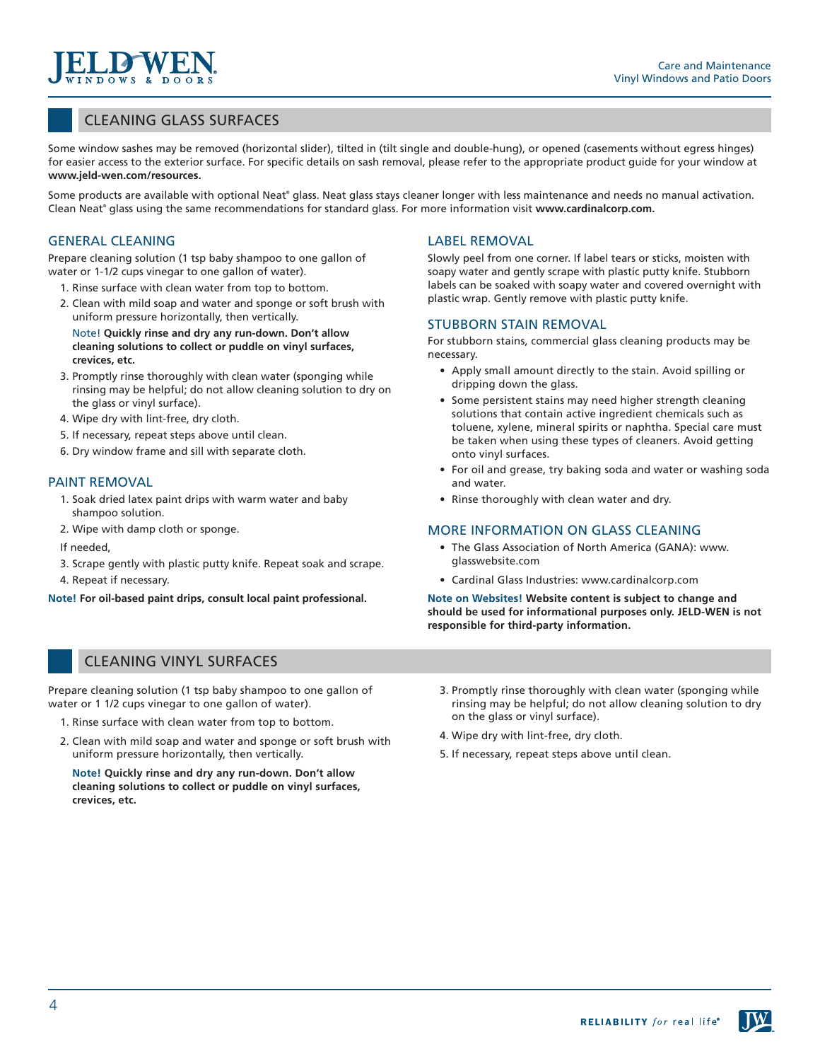## CLEANING GLASS SURFACES

Some window sashes may be removed (horizontal slider), tilted in (tilt single and double-hung), or opened (casements without egress hinges) for easier access to the exterior surface. For specific details on sash removal, please refer to the appropriate product guide for your window at **www.jeld-wen.com/resources.**

Some products are available with optional Neat® glass. Neat glass stays cleaner longer with less maintenance and needs no manual activation. Clean Neat<sup>®</sup> glass using the same recommendations for standard glass. For more information visit www.cardinalcorp.com.

### GENERAL CLEANING

Prepare cleaning solution (1 tsp baby shampoo to one gallon of water or 1-1/2 cups vinegar to one gallon of water).

- 1. Rinse surface with clean water from top to bottom.
- 2. Clean with mild soap and water and sponge or soft brush with uniform pressure horizontally, then vertically.

Note! **Quickly rinse and dry any run-down. Don't allow cleaning solutions to collect or puddle on vinyl surfaces, crevices, etc.**

- 3. Promptly rinse thoroughly with clean water (sponging while rinsing may be helpful; do not allow cleaning solution to dry on the glass or vinyl surface).
- 4. Wipe dry with lint-free, dry cloth.
- 5. If necessary, repeat steps above until clean.
- 6. Dry window frame and sill with separate cloth.

#### PAINT REMOVAL

- 1. Soak dried latex paint drips with warm water and baby shampoo solution.
- 2. Wipe with damp cloth or sponge.
- If needed,
- 3. Scrape gently with plastic putty knife. Repeat soak and scrape.
- 4. Repeat if necessary.

**Note! For oil-based paint drips, consult local paint professional.**

### LABEL REMOVAL

Slowly peel from one corner. If label tears or sticks, moisten with soapy water and gently scrape with plastic putty knife. Stubborn labels can be soaked with soapy water and covered overnight with plastic wrap. Gently remove with plastic putty knife.

#### STUBBORN STAIN REMOVAL

For stubborn stains, commercial glass cleaning products may be necessary.

- Apply small amount directly to the stain. Avoid spilling or dripping down the glass.
- Some persistent stains may need higher strength cleaning solutions that contain active ingredient chemicals such as toluene, xylene, mineral spirits or naphtha. Special care must be taken when using these types of cleaners. Avoid getting onto vinyl surfaces.
- For oil and grease, try baking soda and water or washing soda and water.
- Rinse thoroughly with clean water and dry.

#### MORE INFORMATION ON GLASS CLEANING

- The Glass Association of North America (GANA): www. glasswebsite.com
- Cardinal Glass Industries: www.cardinalcorp.com

**Note on Websites! Website content is subject to change and should be used for informational purposes only. JELD-WEN is not responsible for third-party information.**

## CLEANING VINYL SURFACES

Prepare cleaning solution (1 tsp baby shampoo to one gallon of water or 1 1/2 cups vinegar to one gallon of water).

- 1. Rinse surface with clean water from top to bottom.
- 2. Clean with mild soap and water and sponge or soft brush with uniform pressure horizontally, then vertically.

**Note! Quickly rinse and dry any run-down. Don't allow cleaning solutions to collect or puddle on vinyl surfaces, crevices, etc.**

- 3. Promptly rinse thoroughly with clean water (sponging while rinsing may be helpful; do not allow cleaning solution to dry on the glass or vinyl surface).
- 4. Wipe dry with lint-free, dry cloth.
- 5. If necessary, repeat steps above until clean.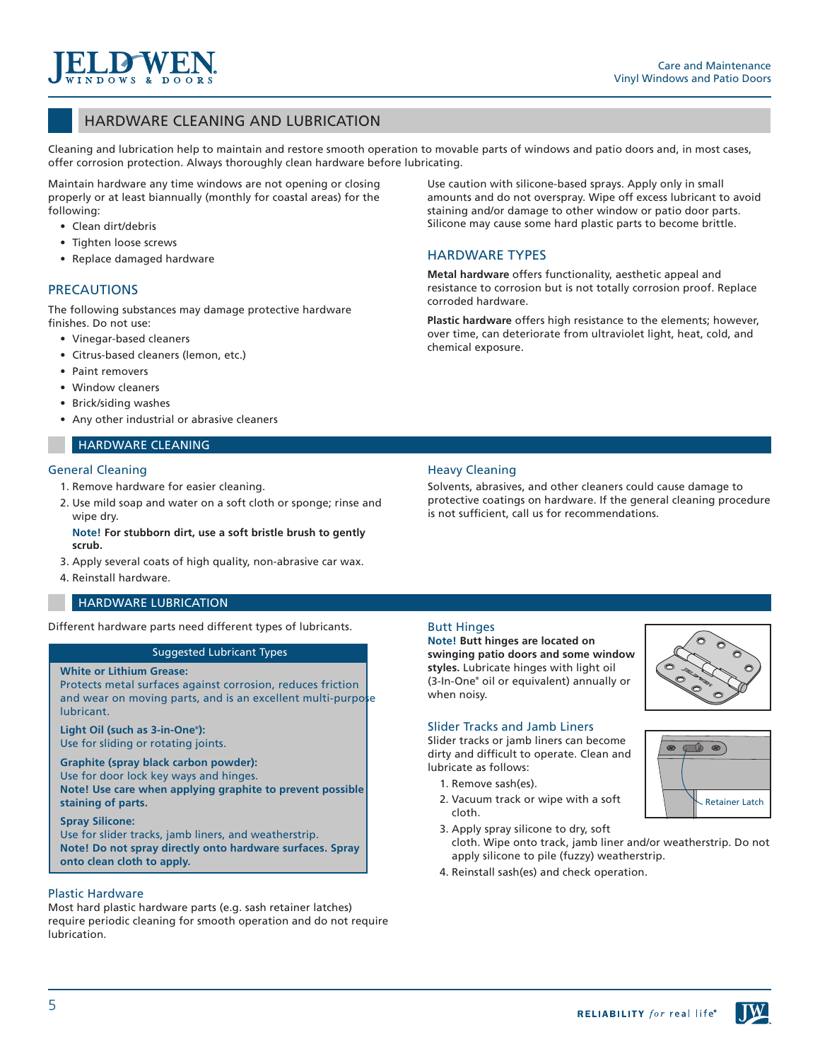## HARDWARE CLEANING AND LUBRICATION

Cleaning and lubrication help to maintain and restore smooth operation to movable parts of windows and patio doors and, in most cases, offer corrosion protection. Always thoroughly clean hardware before lubricating.

Maintain hardware any time windows are not opening or closing properly or at least biannually (monthly for coastal areas) for the following:

- Clean dirt/debris
- Tighten loose screws
- Replace damaged hardware

### PRECAUTIONS

The following substances may damage protective hardware finishes. Do not use:

- Vinegar-based cleaners
- Citrus-based cleaners (lemon, etc.)
- Paint removers
- Window cleaners
- Brick/siding washes
- Any other industrial or abrasive cleaners

#### HARDWARE CLEANING

#### General Cleaning

- 1. Remove hardware for easier cleaning.
- 2. Use mild soap and water on a soft cloth or sponge; rinse and wipe dry.

#### **Note! For stubborn dirt, use a soft bristle brush to gently scrub.**

- 3. Apply several coats of high quality, non-abrasive car wax.
- 4. Reinstall hardware.

### HARDWARE LUBRICATION

Different hardware parts need different types of lubricants.

#### Suggested Lubricant Types

#### **White or Lithium Grease:**

Protects metal surfaces against corrosion, reduces friction and wear on moving parts, and is an excellent multi-purpose lubricant.

**Light Oil (such as 3-in-One® ):** Use for sliding or rotating joints.

**Graphite (spray black carbon powder):** Use for door lock key ways and hinges. **Note! Use care when applying graphite to prevent possible staining of parts.**

#### **Spray Silicone:**

Use for slider tracks, jamb liners, and weatherstrip. **Note! Do not spray directly onto hardware surfaces. Spray onto clean cloth to apply.**

#### Plastic Hardware

Most hard plastic hardware parts (e.g. sash retainer latches) require periodic cleaning for smooth operation and do not require lubrication.

Use caution with silicone-based sprays. Apply only in small amounts and do not overspray. Wipe off excess lubricant to avoid staining and/or damage to other window or patio door parts. Silicone may cause some hard plastic parts to become brittle.

### HARDWARE TYPES

**Metal hardware** offers functionality, aesthetic appeal and resistance to corrosion but is not totally corrosion proof. Replace corroded hardware.

**Plastic hardware** offers high resistance to the elements; however, over time, can deteriorate from ultraviolet light, heat, cold, and chemical exposure.

### Heavy Cleaning

Solvents, abrasives, and other cleaners could cause damage to protective coatings on hardware. If the general cleaning procedure is not sufficient, call us for recommendations.

#### Butt Hinges

**Note! Butt hinges are located on swinging patio doors and some window styles.** Lubricate hinges with light oil (3-In-One® oil or equivalent) annually or when noisy.



### Slider Tracks and Jamb Liners

Slider tracks or jamb liners can become dirty and difficult to operate. Clean and lubricate as follows:

- 1. Remove sash(es).
- 2. Vacuum track or wipe with a soft cloth.
- 3. Apply spray silicone to dry, soft
- cloth. Wipe onto track, jamb liner and/or weatherstrip. Do not apply silicone to pile (fuzzy) weatherstrip.
- 4. Reinstall sash(es) and check operation.

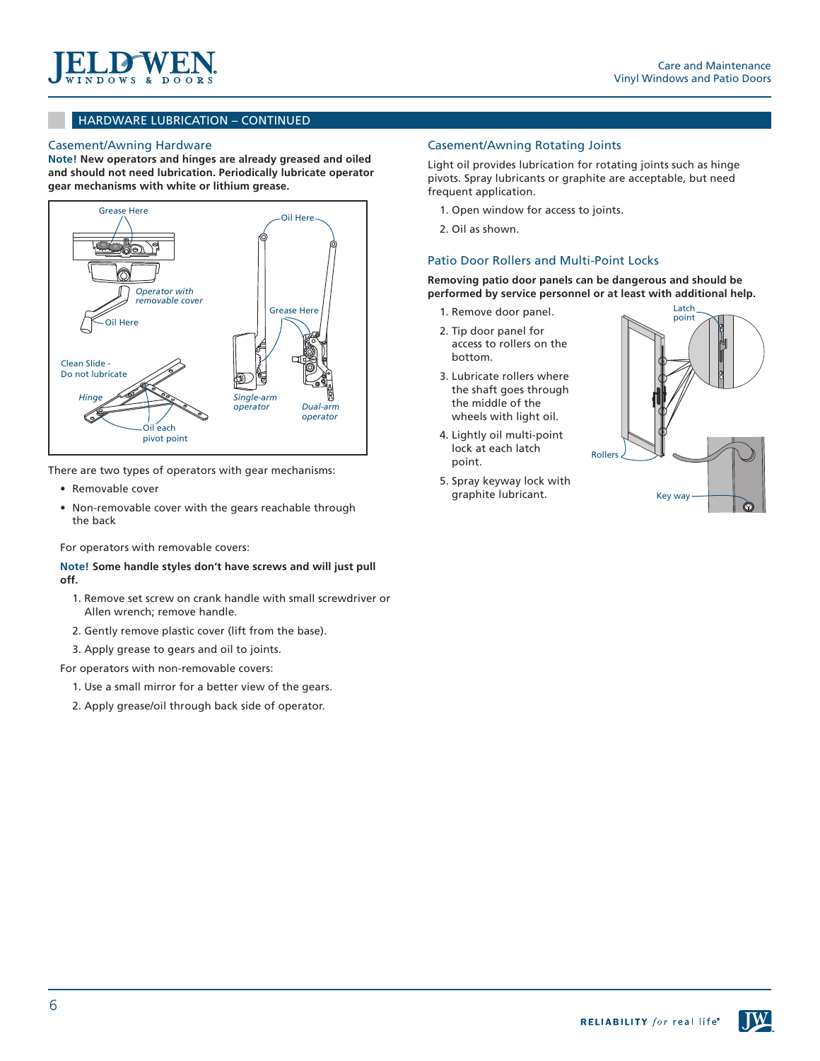

### HARDWARE LUBRICATION – CONTINUED

#### Casement/Awning Hardware

**Note! New operators and hinges are already greased and oiled and should not need lubrication. Periodically lubricate operator gear mechanisms with white or lithium grease.**



There are two types of operators with gear mechanisms:

- Removable cover
- Non-removable cover with the gears reachable through the back

For operators with removable covers:

**Note! Some handle styles don't have screws and will just pull off.**

- 1. Remove set screw on crank handle with small screwdriver or Allen wrench; remove handle.
- 2. Gently remove plastic cover (lift from the base).
- 3. Apply grease to gears and oil to joints.

For operators with non-removable covers:

- 1. Use a small mirror for a better view of the gears.
- 2. Apply grease/oil through back side of operator.

#### Casement/Awning Rotating Joints

Light oil provides lubrication for rotating joints such as hinge pivots. Spray lubricants or graphite are acceptable, but need frequent application.

- 1. Open window for access to joints.
- 2. Oil as shown.

#### Patio Door Rollers and Multi-Point Locks

**Removing patio door panels can be dangerous and should be performed by service personnel or at least with additional help.**

- 1. Remove door panel.
- 2. Tip door panel for access to rollers on the bottom.
- 3. Lubricate rollers where the shaft goes through the middle of the wheels with light oil.
- 4. Lightly oil multi-point lock at each latch point.
- 5. Spray keyway lock with graphite lubricant.

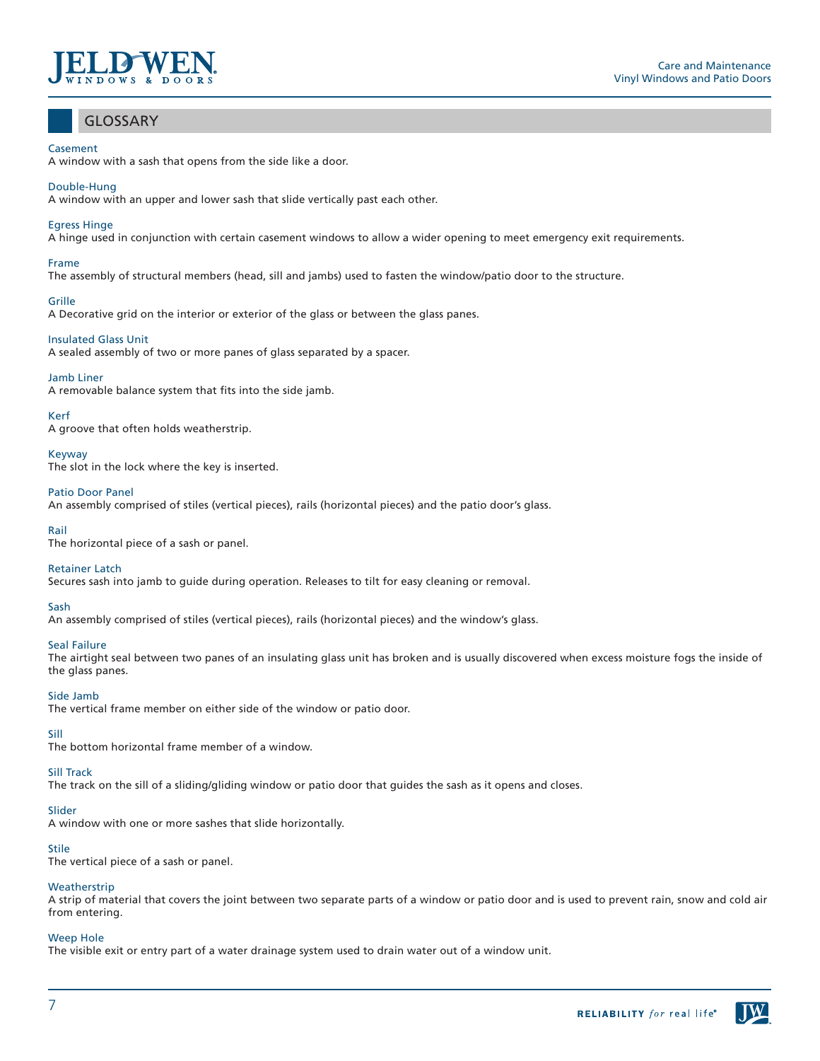

## GLOSSARY

#### **Casement**

A window with a sash that opens from the side like a door.

#### Double-Hung

A window with an upper and lower sash that slide vertically past each other.

#### Egress Hinge

A hinge used in conjunction with certain casement windows to allow a wider opening to meet emergency exit requirements.

# Frame

The assembly of structural members (head, sill and jambs) used to fasten the window/patio door to the structure.

#### Grille

A Decorative grid on the interior or exterior of the glass or between the glass panes.

#### Insulated Glass Unit

A sealed assembly of two or more panes of glass separated by a spacer.

#### Jamb Liner

A removable balance system that fits into the side jamb.

#### Kerf

A groove that often holds weatherstrip.

Keyway

The slot in the lock where the key is inserted.

### Patio Door Panel

An assembly comprised of stiles (vertical pieces), rails (horizontal pieces) and the patio door's glass.

#### Rail

The horizontal piece of a sash or panel.

#### Retainer Latch

Secures sash into jamb to guide during operation. Releases to tilt for easy cleaning or removal.

#### Sash

An assembly comprised of stiles (vertical pieces), rails (horizontal pieces) and the window's glass.

#### Seal Failure

The airtight seal between two panes of an insulating glass unit has broken and is usually discovered when excess moisture fogs the inside of the glass panes.

#### Side Jamb

The vertical frame member on either side of the window or patio door.

### Sill

The bottom horizontal frame member of a window.

### Sill Track

The track on the sill of a sliding/gliding window or patio door that guides the sash as it opens and closes.

### Slider

A window with one or more sashes that slide horizontally.

#### Stile

The vertical piece of a sash or panel.

#### **Weatherstrip**

A strip of material that covers the joint between two separate parts of a window or patio door and is used to prevent rain, snow and cold air from entering.

#### Weep Hole

The visible exit or entry part of a water drainage system used to drain water out of a window unit.